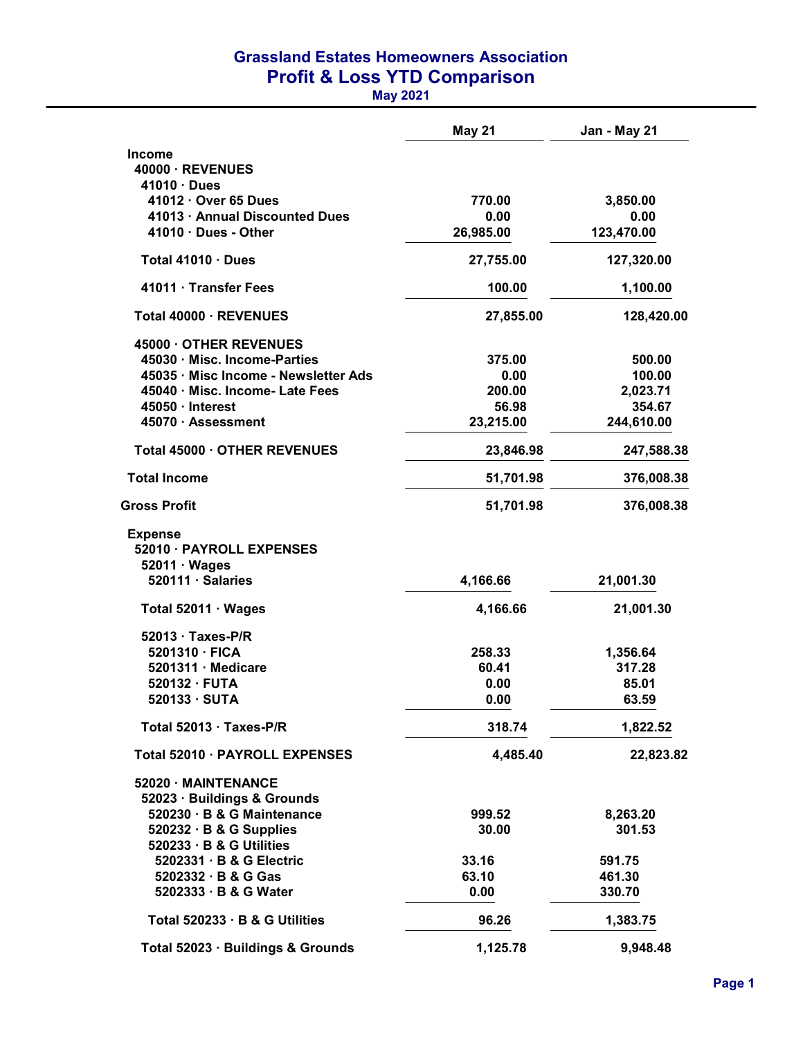## Grassland Estates Homeowners Association Profit & Loss YTD Comparison

May 2021

|                                      | <b>May 21</b> | Jan - May 21 |
|--------------------------------------|---------------|--------------|
| <b>Income</b>                        |               |              |
| 40000 · REVENUES                     |               |              |
| 41010 · Dues                         |               |              |
| 41012 · Over 65 Dues                 | 770.00        | 3,850.00     |
| 41013 · Annual Discounted Dues       | 0.00          | 0.00         |
| $41010 \cdot$ Dues - Other           | 26,985.00     | 123,470.00   |
| Total $41010 \cdot$ Dues             | 27,755.00     | 127,320.00   |
| 41011 · Transfer Fees                | 100.00        | 1,100.00     |
| Total 40000 · REVENUES               | 27,855.00     | 128,420.00   |
| 45000 OTHER REVENUES                 |               |              |
| 45030 · Misc. Income-Parties         | 375.00        | 500.00       |
| 45035 · Misc Income - Newsletter Ads | 0.00          | 100.00       |
| 45040 · Misc. Income- Late Fees      | 200.00        | 2,023.71     |
| 45050 · Interest                     | 56.98         | 354.67       |
| 45070 · Assessment                   | 23,215.00     | 244,610.00   |
| Total 45000 · OTHER REVENUES         | 23,846.98     | 247,588.38   |
| <b>Total Income</b>                  | 51,701.98     | 376,008.38   |
| Gross Profit                         | 51,701.98     | 376,008.38   |
| <b>Expense</b>                       |               |              |
| 52010 · PAYROLL EXPENSES             |               |              |
| $52011 \cdot Wages$                  |               |              |
| 520111 · Salaries                    | 4,166.66      | 21,001.30    |
| Total 52011 · Wages                  | 4,166.66      | 21,001.30    |
| $52013 \cdot$ Taxes-P/R              |               |              |
| 5201310 · FICA                       | 258.33        | 1,356.64     |
| $5201311 \cdot$ Medicare             | 60.41         | 317.28       |
| $520132 \cdot FUTA$                  | 0.00          | 85.01        |
| 520133 · SUTA                        | 0.00          | 63.59        |
| Total 52013 · Taxes-P/R              | 318.74        | 1,822.52     |
| Total 52010 · PAYROLL EXPENSES       | 4,485.40      | 22,823.82    |
| 52020 MAINTENANCE                    |               |              |
| 52023 · Buildings & Grounds          |               |              |
| 520230 · B & G Maintenance           | 999.52        | 8,263.20     |
| $520232 \cdot B$ & G Supplies        | 30.00         | 301.53       |
| 520233 · B & G Utilities             |               |              |
| 5202331 · B & G Electric             | 33.16         | 591.75       |
| $5202332 \cdot B & G$ Gas            | 63.10         | 461.30       |
| 5202333 · B & G Water                | 0.00          | 330.70       |
| Total 520233 · B & G Utilities       | 96.26         | 1,383.75     |
| Total 52023 · Buildings & Grounds    | 1,125.78      | 9,948.48     |
|                                      |               |              |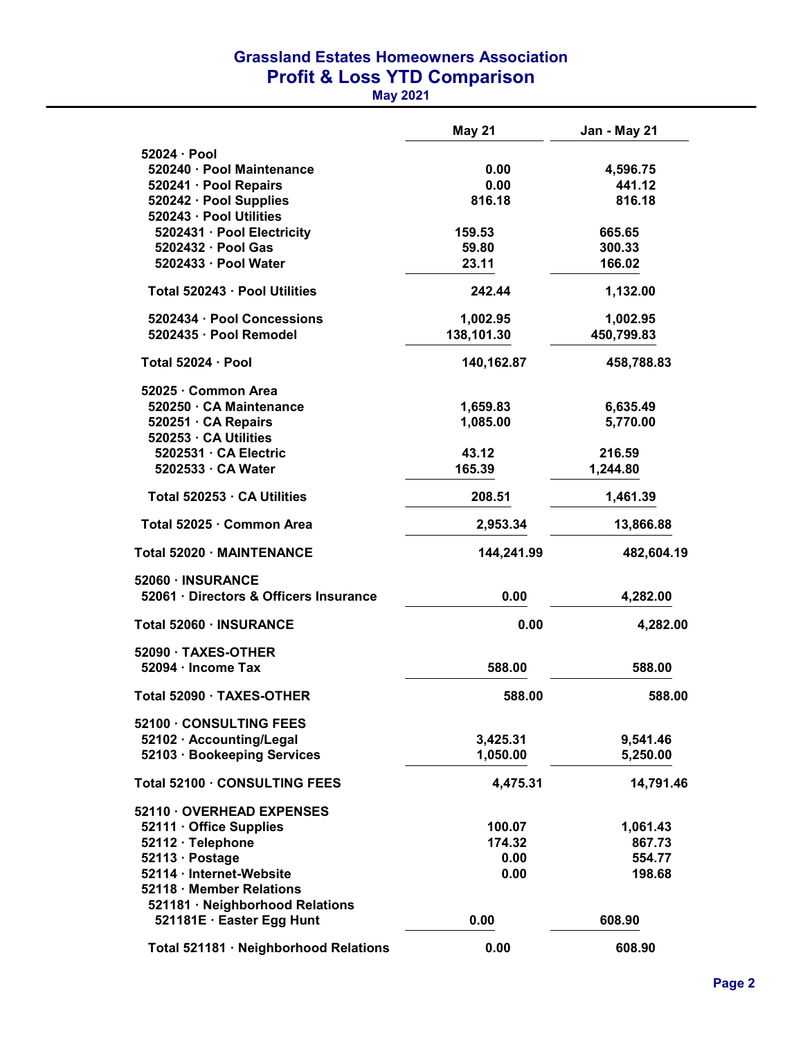## Grassland Estates Homeowners Association Profit & Loss YTD Comparison

May 2021

|                                                   | <b>May 21</b> | Jan - May 21 |
|---------------------------------------------------|---------------|--------------|
| $52024 \cdot Pool$                                |               |              |
| 520240 · Pool Maintenance                         | 0.00          | 4,596.75     |
| 520241 · Pool Repairs                             | 0.00          | 441.12       |
| 520242 · Pool Supplies<br>520243 · Pool Utilities | 816.18        | 816.18       |
| 5202431 · Pool Electricity                        | 159.53        | 665.65       |
| 5202432 · Pool Gas                                | 59.80         | 300.33       |
| 5202433 · Pool Water                              | 23.11         | 166.02       |
| Total 520243 · Pool Utilities                     | 242.44        | 1,132.00     |
| 5202434 · Pool Concessions                        | 1,002.95      | 1,002.95     |
| 5202435 · Pool Remodel                            | 138,101.30    | 450,799.83   |
| Total 52024 · Pool                                | 140,162.87    | 458,788.83   |
| 52025 · Common Area                               |               |              |
| 520250 · CA Maintenance                           | 1,659.83      | 6,635.49     |
| 520251 · CA Repairs<br>520253 · CA Utilities      | 1,085.00      | 5,770.00     |
| 5202531 · CA Electric                             | 43.12         | 216.59       |
| 5202533 · CA Water                                | 165.39        | 1,244.80     |
|                                                   |               |              |
| Total 520253 · CA Utilities                       | 208.51        | 1,461.39     |
| Total 52025 · Common Area                         | 2,953.34      | 13,866.88    |
| Total 52020 · MAINTENANCE                         | 144,241.99    | 482,604.19   |
| 52060 · INSURANCE                                 |               |              |
| 52061 · Directors & Officers Insurance            | 0.00          | 4,282.00     |
| Total 52060 · INSURANCE                           | 0.00          | 4,282.00     |
| 52090 TAXES-OTHER                                 |               |              |
| 52094 · Income Tax                                | 588.00        | 588.00       |
| Total 52090 · TAXES-OTHER                         | 588.00        | 588.00       |
| 52100 CONSULTING FEES                             |               |              |
| 52102 · Accounting/Legal                          | 3,425.31      | 9,541.46     |
| 52103 · Bookeeping Services                       | 1,050.00      | 5,250.00     |
| Total 52100 · CONSULTING FEES                     | 4,475.31      | 14,791.46    |
| 52110 OVERHEAD EXPENSES                           |               |              |
| 52111 · Office Supplies                           | 100.07        | 1,061.43     |
| 52112 · Telephone                                 | 174.32        | 867.73       |
| 52113 · Postage                                   | 0.00          | 554.77       |
| 52114 · Internet-Website                          | 0.00          | 198.68       |
| 52118 · Member Relations                          |               |              |
| 521181 · Neighborhood Relations                   |               |              |
| 521181E · Easter Egg Hunt                         | 0.00          | 608.90       |
| Total 521181 · Neighborhood Relations             | 0.00          | 608.90       |